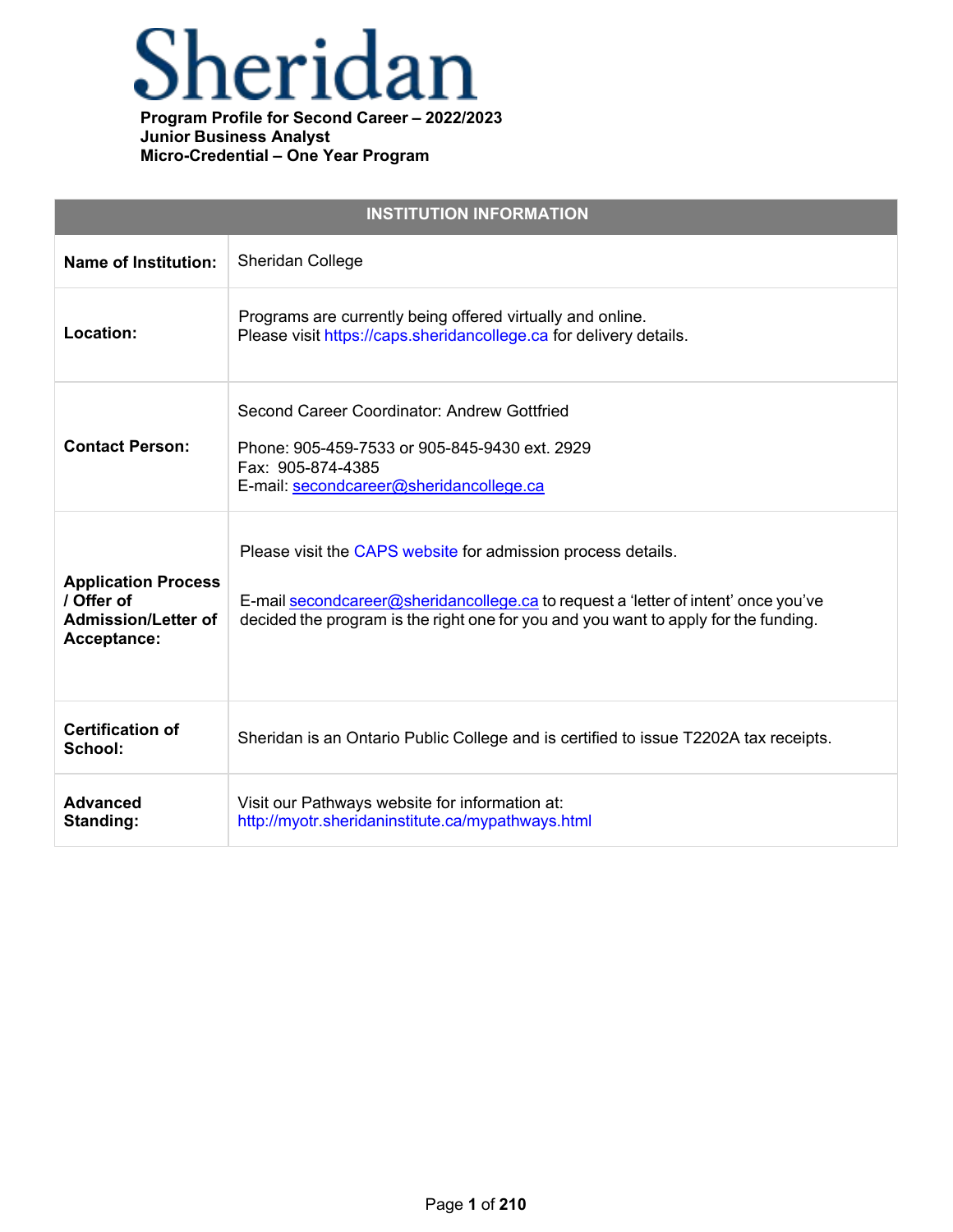

| <b>INSTITUTION INFORMATION</b>                                                        |                                                                                                                                                                                                                                           |  |  |
|---------------------------------------------------------------------------------------|-------------------------------------------------------------------------------------------------------------------------------------------------------------------------------------------------------------------------------------------|--|--|
| <b>Name of Institution:</b>                                                           | Sheridan College                                                                                                                                                                                                                          |  |  |
| Location:                                                                             | Programs are currently being offered virtually and online.<br>Please visit https://caps.sheridancollege.ca for delivery details.                                                                                                          |  |  |
| <b>Contact Person:</b>                                                                | Second Career Coordinator: Andrew Gottfried<br>Phone: 905-459-7533 or 905-845-9430 ext. 2929<br>Fax: 905-874-4385<br>E-mail: secondcareer@sheridancollege.ca                                                                              |  |  |
| <b>Application Process</b><br>/ Offer of<br><b>Admission/Letter of</b><br>Acceptance: | Please visit the CAPS website for admission process details.<br>E-mail secondcareer@sheridancollege.ca to request a 'letter of intent' once you've<br>decided the program is the right one for you and you want to apply for the funding. |  |  |
| <b>Certification of</b><br>School:                                                    | Sheridan is an Ontario Public College and is certified to issue T2202A tax receipts.                                                                                                                                                      |  |  |
| <b>Advanced</b><br>Standing:                                                          | Visit our Pathways website for information at:<br>http://myotr.sheridaninstitute.ca/mypathways.html                                                                                                                                       |  |  |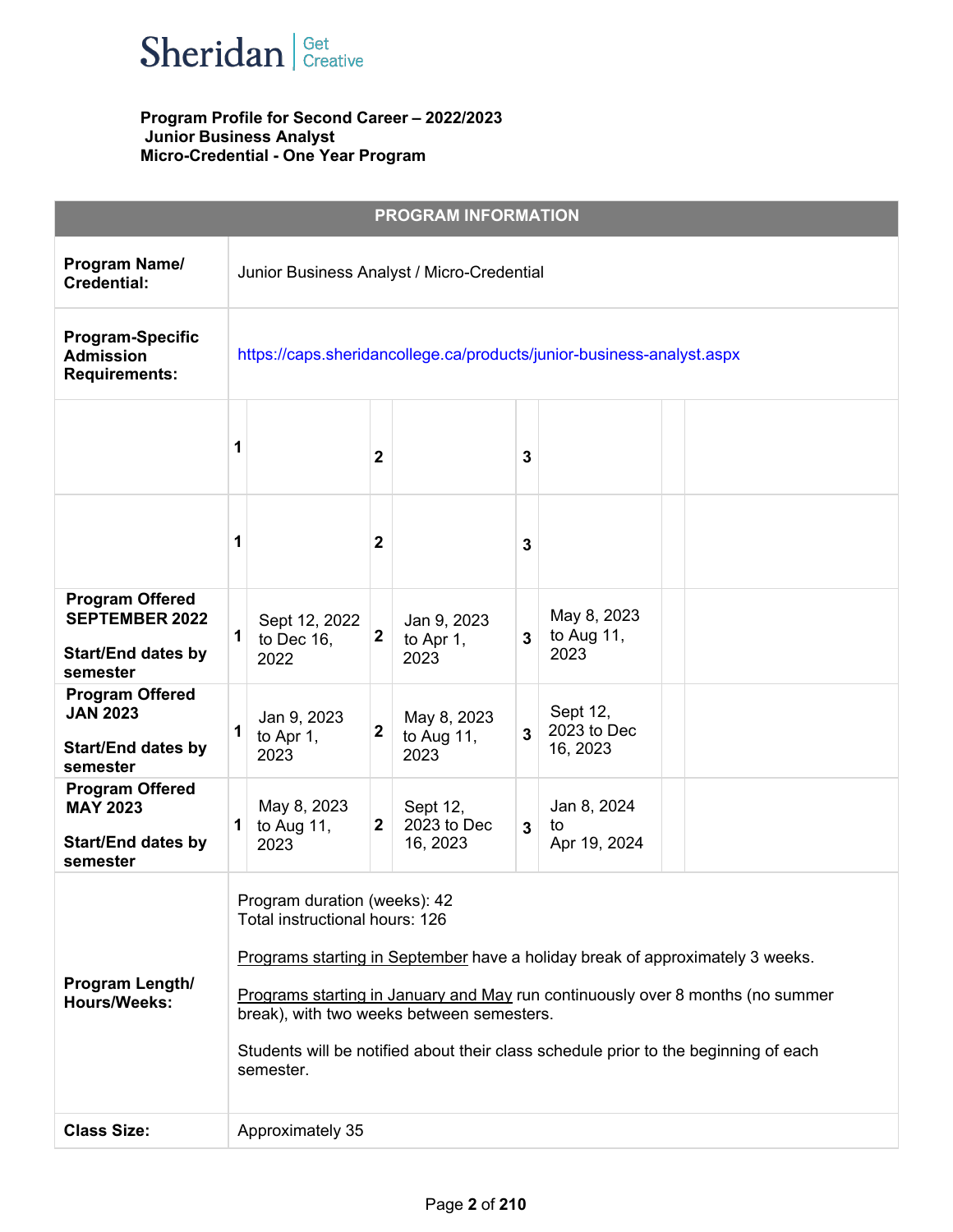

|                                                                                          |   |                                                                                                                                                                                                                                                                                                                                                                                    |              | <b>PROGRAM INFORMATION</b>           |              |                                      |  |
|------------------------------------------------------------------------------------------|---|------------------------------------------------------------------------------------------------------------------------------------------------------------------------------------------------------------------------------------------------------------------------------------------------------------------------------------------------------------------------------------|--------------|--------------------------------------|--------------|--------------------------------------|--|
| Program Name/<br><b>Credential:</b>                                                      |   | Junior Business Analyst / Micro-Credential                                                                                                                                                                                                                                                                                                                                         |              |                                      |              |                                      |  |
| <b>Program-Specific</b><br><b>Admission</b><br><b>Requirements:</b>                      |   | https://caps.sheridancollege.ca/products/junior-business-analyst.aspx                                                                                                                                                                                                                                                                                                              |              |                                      |              |                                      |  |
|                                                                                          | 1 |                                                                                                                                                                                                                                                                                                                                                                                    | $\mathbf{2}$ |                                      | 3            |                                      |  |
|                                                                                          | 1 |                                                                                                                                                                                                                                                                                                                                                                                    | $\mathbf{2}$ |                                      | 3            |                                      |  |
| <b>Program Offered</b><br><b>SEPTEMBER 2022</b><br><b>Start/End dates by</b><br>semester | 1 | Sept 12, 2022<br>to Dec 16,<br>2022                                                                                                                                                                                                                                                                                                                                                | $\mathbf{2}$ | Jan 9, 2023<br>to Apr 1,<br>2023     | 3            | May 8, 2023<br>to Aug $11$ ,<br>2023 |  |
| <b>Program Offered</b><br><b>JAN 2023</b><br><b>Start/End dates by</b><br>semester       | 1 | Jan 9, 2023<br>to Apr 1,<br>2023                                                                                                                                                                                                                                                                                                                                                   | $\mathbf{2}$ | May 8, 2023<br>to Aug $11$ ,<br>2023 | 3            | Sept 12,<br>2023 to Dec<br>16, 2023  |  |
| <b>Program Offered</b><br><b>MAY 2023</b><br><b>Start/End dates by</b><br>semester       | 1 | May 8, 2023<br>to Aug $11$ ,<br>2023                                                                                                                                                                                                                                                                                                                                               | $\mathbf{2}$ | Sept 12,<br>2023 to Dec<br>16, 2023  | $\mathbf{3}$ | Jan 8, 2024<br>to<br>Apr 19, 2024    |  |
| Program Length/<br><b>Hours/Weeks:</b>                                                   |   | Program duration (weeks): 42<br>Total instructional hours: 126<br>Programs starting in September have a holiday break of approximately 3 weeks.<br>Programs starting in January and May run continuously over 8 months (no summer<br>break), with two weeks between semesters.<br>Students will be notified about their class schedule prior to the beginning of each<br>semester. |              |                                      |              |                                      |  |
| <b>Class Size:</b>                                                                       |   | Approximately 35                                                                                                                                                                                                                                                                                                                                                                   |              |                                      |              |                                      |  |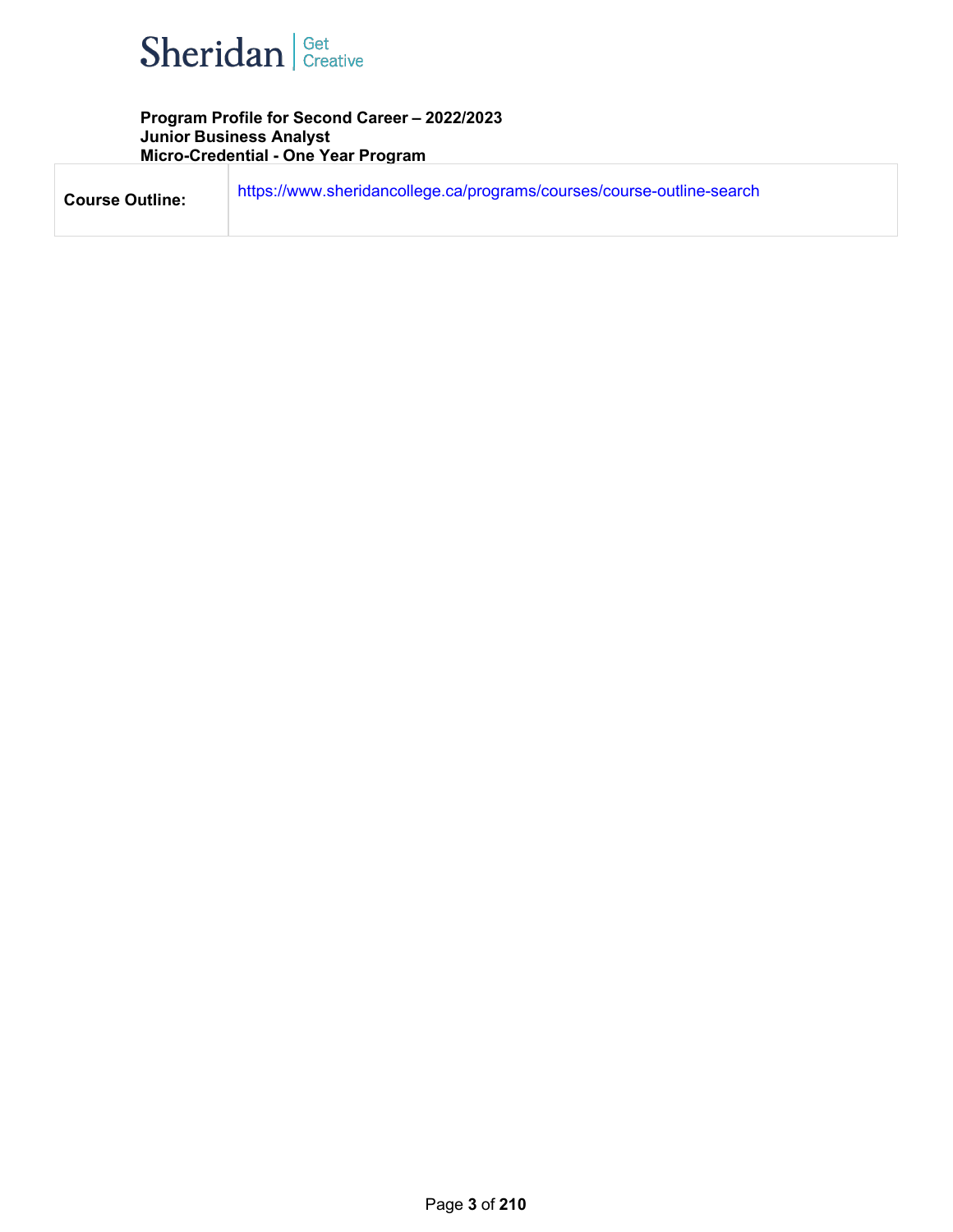

| <b>Course Outline:</b> | https://www.sheridancollege.ca/programs/courses/course-outline-search |
|------------------------|-----------------------------------------------------------------------|
|                        |                                                                       |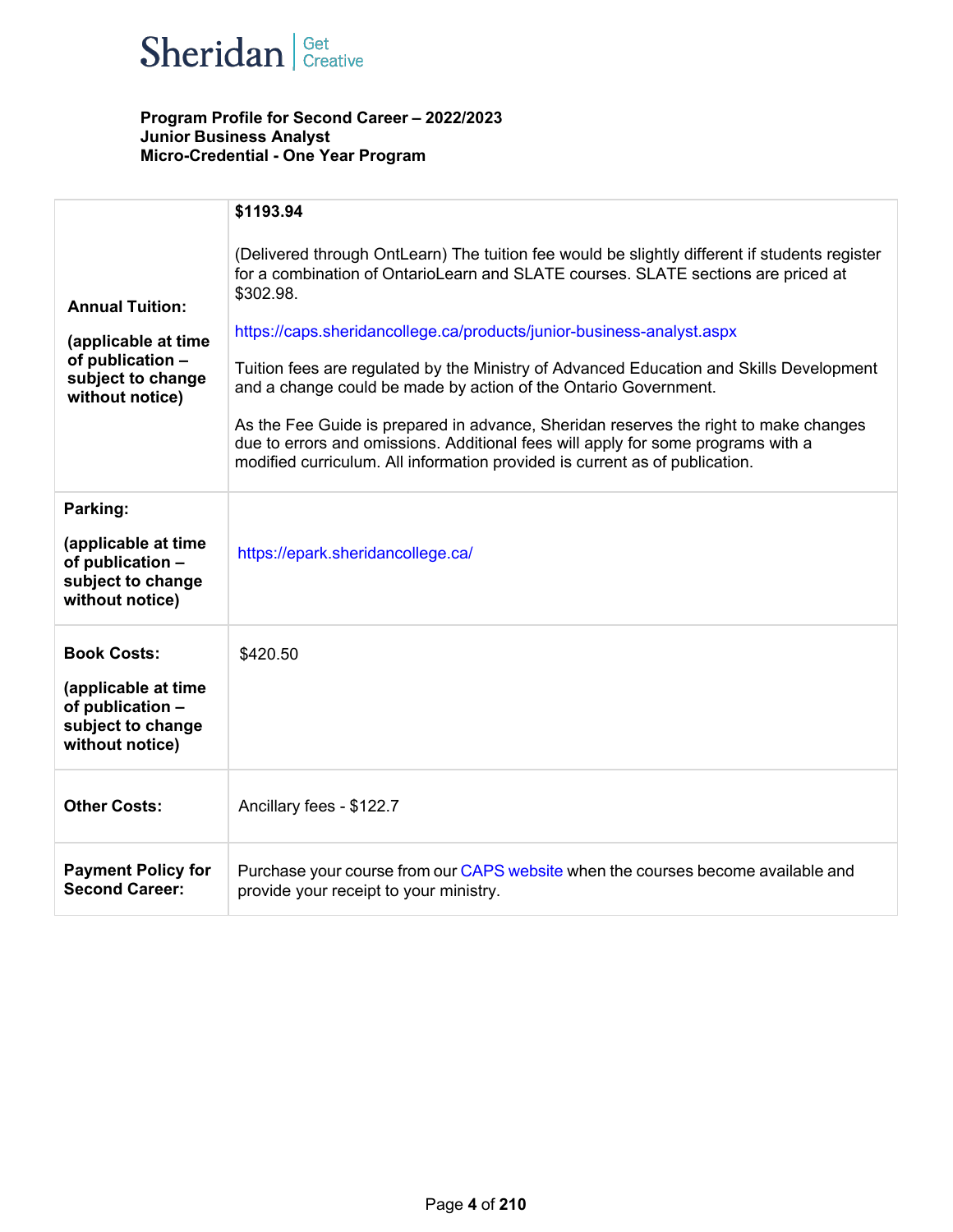

|                                                                                                           | \$1193.94                                                                                                                                                                                                                                                                                                                                                                                                                                                                                                                                                                                                                                                                                         |
|-----------------------------------------------------------------------------------------------------------|---------------------------------------------------------------------------------------------------------------------------------------------------------------------------------------------------------------------------------------------------------------------------------------------------------------------------------------------------------------------------------------------------------------------------------------------------------------------------------------------------------------------------------------------------------------------------------------------------------------------------------------------------------------------------------------------------|
| <b>Annual Tuition:</b><br>(applicable at time<br>of publication -<br>subject to change<br>without notice) | (Delivered through OntLearn) The tuition fee would be slightly different if students register<br>for a combination of OntarioLearn and SLATE courses. SLATE sections are priced at<br>\$302.98.<br>https://caps.sheridancollege.ca/products/junior-business-analyst.aspx<br>Tuition fees are regulated by the Ministry of Advanced Education and Skills Development<br>and a change could be made by action of the Ontario Government.<br>As the Fee Guide is prepared in advance, Sheridan reserves the right to make changes<br>due to errors and omissions. Additional fees will apply for some programs with a<br>modified curriculum. All information provided is current as of publication. |
| Parking:                                                                                                  |                                                                                                                                                                                                                                                                                                                                                                                                                                                                                                                                                                                                                                                                                                   |
| (applicable at time<br>of publication -<br>subject to change<br>without notice)                           | https://epark.sheridancollege.ca/                                                                                                                                                                                                                                                                                                                                                                                                                                                                                                                                                                                                                                                                 |
| <b>Book Costs:</b><br>(applicable at time<br>of publication -<br>subject to change<br>without notice)     | \$420.50                                                                                                                                                                                                                                                                                                                                                                                                                                                                                                                                                                                                                                                                                          |
| <b>Other Costs:</b>                                                                                       | Ancillary fees - \$122.7                                                                                                                                                                                                                                                                                                                                                                                                                                                                                                                                                                                                                                                                          |
| <b>Payment Policy for</b><br><b>Second Career:</b>                                                        | Purchase your course from our CAPS website when the courses become available and<br>provide your receipt to your ministry.                                                                                                                                                                                                                                                                                                                                                                                                                                                                                                                                                                        |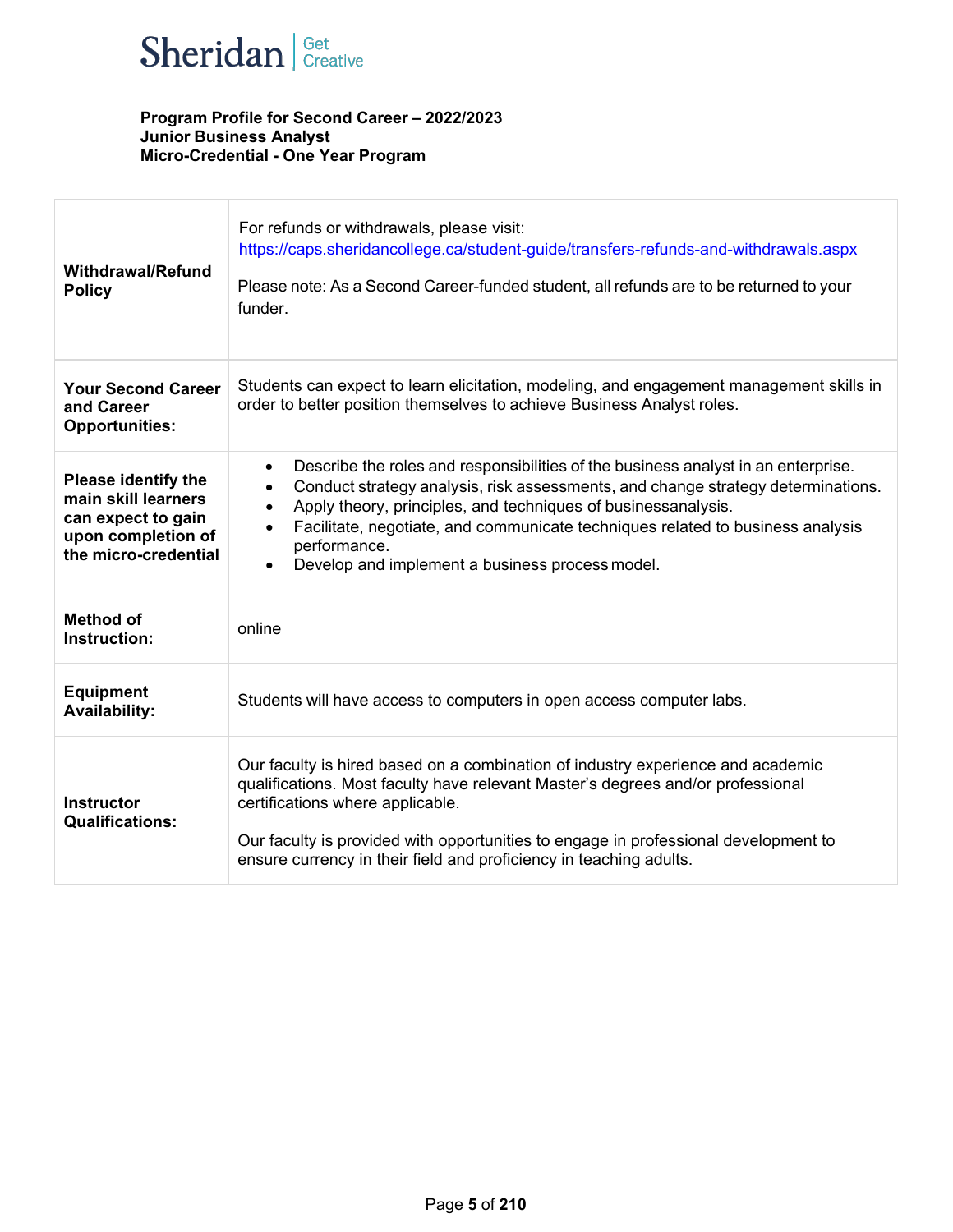

| <b>Withdrawal/Refund</b><br><b>Policy</b>                                                                      | For refunds or withdrawals, please visit:<br>https://caps.sheridancollege.ca/student-guide/transfers-refunds-and-withdrawals.aspx<br>Please note: As a Second Career-funded student, all refunds are to be returned to your<br>funder.                                                                                                                                                                                             |
|----------------------------------------------------------------------------------------------------------------|------------------------------------------------------------------------------------------------------------------------------------------------------------------------------------------------------------------------------------------------------------------------------------------------------------------------------------------------------------------------------------------------------------------------------------|
| <b>Your Second Career</b><br>and Career<br><b>Opportunities:</b>                                               | Students can expect to learn elicitation, modeling, and engagement management skills in<br>order to better position themselves to achieve Business Analyst roles.                                                                                                                                                                                                                                                                  |
| Please identify the<br>main skill learners<br>can expect to gain<br>upon completion of<br>the micro-credential | Describe the roles and responsibilities of the business analyst in an enterprise.<br>$\bullet$<br>Conduct strategy analysis, risk assessments, and change strategy determinations.<br>$\bullet$<br>Apply theory, principles, and techniques of businessanalysis.<br>$\bullet$<br>Facilitate, negotiate, and communicate techniques related to business analysis<br>performance.<br>Develop and implement a business process model. |
| <b>Method of</b><br>Instruction:                                                                               | online                                                                                                                                                                                                                                                                                                                                                                                                                             |
| <b>Equipment</b><br><b>Availability:</b>                                                                       | Students will have access to computers in open access computer labs.                                                                                                                                                                                                                                                                                                                                                               |
| <b>Instructor</b><br><b>Qualifications:</b>                                                                    | Our faculty is hired based on a combination of industry experience and academic<br>qualifications. Most faculty have relevant Master's degrees and/or professional<br>certifications where applicable.<br>Our faculty is provided with opportunities to engage in professional development to<br>ensure currency in their field and proficiency in teaching adults.                                                                |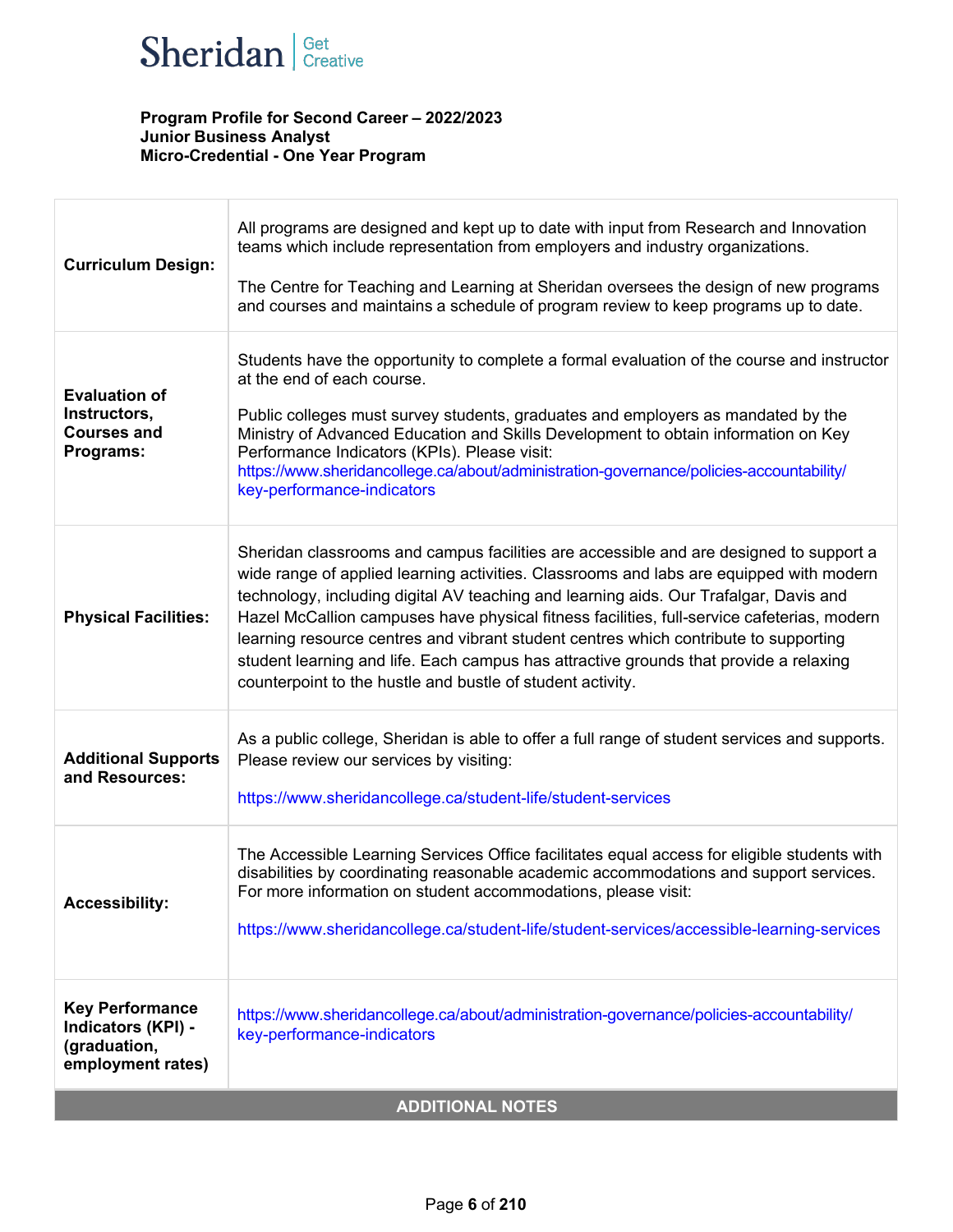

| <b>Curriculum Design:</b>                                                         | All programs are designed and kept up to date with input from Research and Innovation<br>teams which include representation from employers and industry organizations.<br>The Centre for Teaching and Learning at Sheridan oversees the design of new programs<br>and courses and maintains a schedule of program review to keep programs up to date.                                                                                                                                                                                                                                                                   |  |  |
|-----------------------------------------------------------------------------------|-------------------------------------------------------------------------------------------------------------------------------------------------------------------------------------------------------------------------------------------------------------------------------------------------------------------------------------------------------------------------------------------------------------------------------------------------------------------------------------------------------------------------------------------------------------------------------------------------------------------------|--|--|
| <b>Evaluation of</b><br>Instructors,<br><b>Courses and</b><br>Programs:           | Students have the opportunity to complete a formal evaluation of the course and instructor<br>at the end of each course.<br>Public colleges must survey students, graduates and employers as mandated by the<br>Ministry of Advanced Education and Skills Development to obtain information on Key<br>Performance Indicators (KPIs). Please visit:<br>https://www.sheridancollege.ca/about/administration-governance/policies-accountability/<br>key-performance-indicators                                                                                                                                             |  |  |
| <b>Physical Facilities:</b>                                                       | Sheridan classrooms and campus facilities are accessible and are designed to support a<br>wide range of applied learning activities. Classrooms and labs are equipped with modern<br>technology, including digital AV teaching and learning aids. Our Trafalgar, Davis and<br>Hazel McCallion campuses have physical fitness facilities, full-service cafeterias, modern<br>learning resource centres and vibrant student centres which contribute to supporting<br>student learning and life. Each campus has attractive grounds that provide a relaxing<br>counterpoint to the hustle and bustle of student activity. |  |  |
| <b>Additional Supports</b><br>and Resources:                                      | As a public college, Sheridan is able to offer a full range of student services and supports.<br>Please review our services by visiting:<br>https://www.sheridancollege.ca/student-life/student-services                                                                                                                                                                                                                                                                                                                                                                                                                |  |  |
| <b>Accessibility:</b>                                                             | The Accessible Learning Services Office facilitates equal access for eligible students with<br>disabilities by coordinating reasonable academic accommodations and support services.<br>For more information on student accommodations, please visit:<br>https://www.sheridancollege.ca/student-life/student-services/accessible-learning-services                                                                                                                                                                                                                                                                      |  |  |
| <b>Key Performance</b><br>Indicators (KPI) -<br>(graduation,<br>employment rates) | https://www.sheridancollege.ca/about/administration-governance/policies-accountability/<br>key-performance-indicators                                                                                                                                                                                                                                                                                                                                                                                                                                                                                                   |  |  |
| <b>ADDITIONAL NOTES</b>                                                           |                                                                                                                                                                                                                                                                                                                                                                                                                                                                                                                                                                                                                         |  |  |